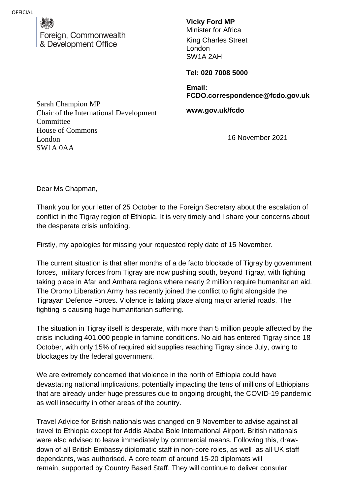reign, Commonwealth & Development Office

**Vicky Ford MP**

Minister for Africa King Charles Street London SW1A 2AH

**Tel: 020 7008 5000**

**Email: FCDO.correspondence@fcdo.gov.uk**

**www.gov.uk/fcdo**

16 November 2021

Sarah Champion MP Chair of the International Development **Committee** House of Commons London SW1A 0AA

Dear Ms Chapman,

Thank you for your letter of 25 October to the Foreign Secretary about the escalation of conflict in the Tigray region of Ethiopia. It is very timely and I share your concerns about the desperate crisis unfolding.

Firstly, my apologies for missing your requested reply date of 15 November.

The current situation is that after months of a de facto blockade of Tigray by government forces, military forces from Tigray are now pushing south, beyond Tigray, with fighting taking place in Afar and Amhara regions where nearly 2 million require humanitarian aid. The Oromo Liberation Army has recently joined the conflict to fight alongside the Tigrayan Defence Forces. Violence is taking place along major arterial roads. The fighting is causing huge humanitarian suffering.

The situation in Tigray itself is desperate, with more than 5 million people affected by the crisis including 401,000 people in famine conditions. No aid has entered Tigray since 18 October, with only 15% of required aid supplies reaching Tigray since July, owing to blockages by the federal government.

We are extremely concerned that violence in the north of Ethiopia could have devastating national implications, potentially impacting the tens of millions of Ethiopians that are already under huge pressures due to ongoing drought, the COVID-19 pandemic as well insecurity in other areas of the country.

Travel Advice for British nationals was changed on 9 November to advise against all travel to Ethiopia except for Addis Ababa Bole International Airport. British nationals were also advised to leave immediately by commercial means. Following this, drawdown of all British Embassy diplomatic staff in non-core roles, as well as all UK staff dependants, was authorised. A core team of around 15-20 diplomats will remain, supported by Country Based Staff. They will continue to deliver consular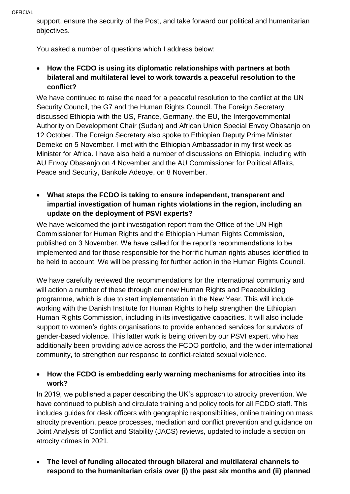support, ensure the security of the Post, and take forward our political and humanitarian objectives.

You asked a number of questions which I address below:

 **How the FCDO is using its diplomatic relationships with partners at both bilateral and multilateral level to work towards a peaceful resolution to the conflict?** 

We have continued to raise the need for a peaceful resolution to the conflict at the UN Security Council, the G7 and the Human Rights Council. The Foreign Secretary discussed Ethiopia with the US, France, Germany, the EU, the Intergovernmental Authority on Development Chair (Sudan) and African Union Special Envoy Obasanjo on 12 October. The Foreign Secretary also spoke to Ethiopian Deputy Prime Minister Demeke on 5 November. I met with the Ethiopian Ambassador in my first week as Minister for Africa. I have also held a number of discussions on Ethiopia, including with AU Envoy Obasanjo on 4 November and the AU Commissioner for Political Affairs, Peace and Security, Bankole Adeoye, on 8 November.

 **What steps the FCDO is taking to ensure independent, transparent and impartial investigation of human rights violations in the region, including an update on the deployment of PSVI experts?** 

We have welcomed the joint investigation report from the Office of the UN High Commissioner for Human Rights and the Ethiopian Human Rights Commission, published on 3 November. We have called for the report's recommendations to be implemented and for those responsible for the horrific human rights abuses identified to be held to account. We will be pressing for further action in the Human Rights Council.

We have carefully reviewed the recommendations for the international community and will action a number of these through our new Human Rights and Peacebuilding programme, which is due to start implementation in the New Year. This will include working with the Danish Institute for Human Rights to help strengthen the Ethiopian Human Rights Commission, including in its investigative capacities. It will also include support to women's rights organisations to provide enhanced services for survivors of gender-based violence. This latter work is being driven by our PSVI expert, who has additionally been providing advice across the FCDO portfolio, and the wider international community, to strengthen our response to conflict-related sexual violence.

## **How the FCDO is embedding early warning mechanisms for atrocities into its work?**

In 2019, we published a paper describing the UK's approach to atrocity prevention. We have continued to publish and circulate training and policy tools for all FCDO staff. This includes guides for desk officers with geographic responsibilities, online training on mass atrocity prevention, peace processes, mediation and conflict prevention and guidance on Joint Analysis of Conflict and Stability (JACS) reviews, updated to include a section on atrocity crimes in 2021.

 **The level of funding allocated through bilateral and multilateral channels to respond to the humanitarian crisis over (i) the past six months and (ii) planned**